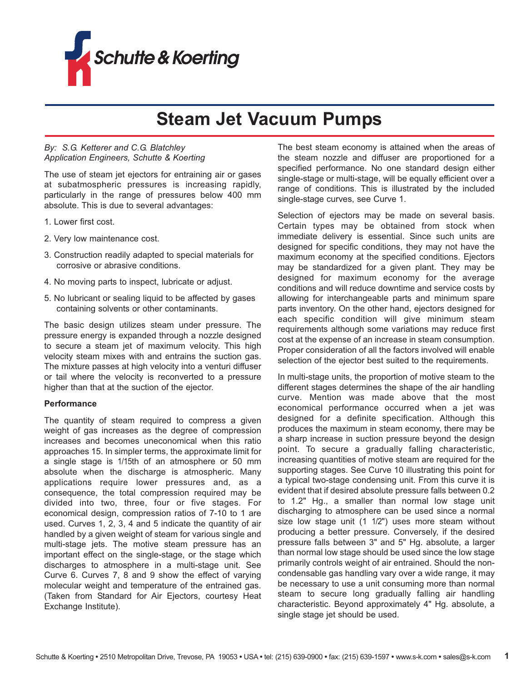

# **Steam Jet Vacuum Pumps**

# *By: S.G. Ketterer and C.G. Blatchley Application Engineers, Schutte & Koerting*

The use of steam jet ejectors for entraining air or gases at subatmospheric pressures is increasing rapidly, particularly in the range of pressures below 400 mm absolute. This is due to several advantages:

- 1. Lower first cost.
- 2. Very low maintenance cost.
- 3. Construction readily adapted to special materials for corrosive or abrasive conditions.
- 4. No moving parts to inspect, lubricate or adjust.
- 5. No lubricant or sealing liquid to be affected by gases containing solvents or other contaminants.

The basic design utilizes steam under pressure. The pressure energy is expanded through a nozzle designed to secure a steam jet of maximum velocity. This high velocity steam mixes with and entrains the suction gas. The mixture passes at high velocity into a venturi diffuser or tail where the velocity is reconverted to a pressure higher than that at the suction of the ejector.

#### **Performance**

The quantity of steam required to compress a given weight of gas increases as the degree of compression increases and becomes uneconomical when this ratio approaches 15. In simpler terms, the approximate limit for a single stage is 1/15th of an atmosphere or 50 mm absolute when the discharge is atmospheric. Many applications require lower pressures and, as a consequence, the total compression required may be divided into two, three, four or five stages. For economical design, compression ratios of 7-10 to 1 are used. Curves 1, 2, 3, 4 and 5 indicate the quantity of air handled by a given weight of steam for various single and multi-stage jets. The motive steam pressure has an important effect on the single-stage, or the stage which discharges to atmosphere in a multi-stage unit. See Curve 6. Curves 7, 8 and 9 show the effect of varying molecular weight and temperature of the entrained gas. (Taken from Standard for Air Ejectors, courtesy Heat Exchange Institute).

The best steam economy is attained when the areas of the steam nozzle and diffuser are proportioned for a specified performance. No one standard design either single-stage or multi-stage, will be equally efficient over a range of conditions. This is illustrated by the included single-stage curves, see Curve 1.

Selection of ejectors may be made on several basis. Certain types may be obtained from stock when immediate delivery is essential. Since such units are designed for specific conditions, they may not have the maximum economy at the specified conditions. Ejectors may be standardized for a given plant. They may be designed for maximum economy for the average conditions and will reduce downtime and service costs by allowing for interchangeable parts and minimum spare parts inventory. On the other hand, ejectors designed for each specific condition will give minimum steam requirements although some variations may reduce first cost at the expense of an increase in steam consumption. Proper consideration of all the factors involved will enable selection of the ejector best suited to the requirements.

In multi-stage units, the proportion of motive steam to the different stages determines the shape of the air handling curve. Mention was made above that the most economical performance occurred when a jet was designed for a definite specification. Although this produces the maximum in steam economy, there may be a sharp increase in suction pressure beyond the design point. To secure a gradually falling characteristic, increasing quantities of motive steam are required for the supporting stages. See Curve 10 illustrating this point for a typical two-stage condensing unit. From this curve it is evident that if desired absolute pressure falls between 0.2 to 1.2" Hg., a smaller than normal low stage unit discharging to atmosphere can be used since a normal size low stage unit (1 1/2") uses more steam without producing a better pressure. Conversely, if the desired pressure falls between 3" and 5" Hg. absolute, a larger than normal low stage should be used since the low stage primarily controls weight of air entrained. Should the noncondensable gas handling vary over a wide range, it may be necessary to use a unit consuming more than normal steam to secure long gradually falling air handling characteristic. Beyond approximately 4" Hg. absolute, a single stage jet should be used.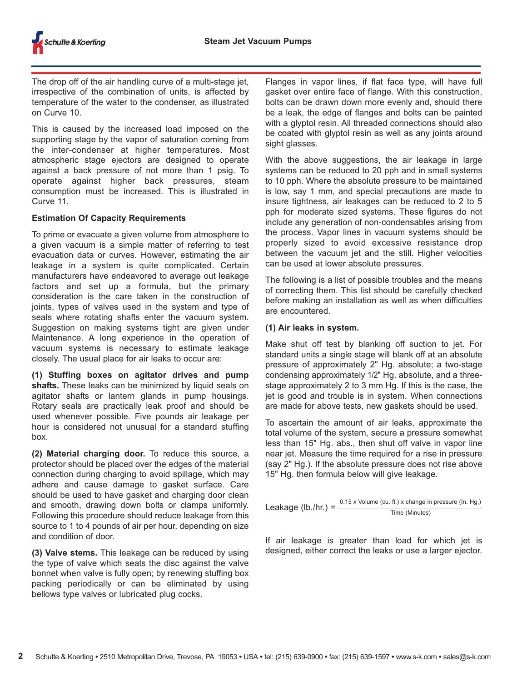The drop off of the air handling curve of a multi-stage jet, irrespective of the combination of units, is affected by temperature of the water to the condenser, as illustrated on Curve 10.

This is caused by the increased load imposed on the supporting stage by the vapor of saturation coming from the inter-condenser at higher temperatures. Most atmospheric stage ejectors are designed to operate against a back pressure of not more than 1 psig. To operate against higher back pressures, steam consumption must be increased. This is illustrated in Curve 11.

# **Estimation Of Capacity Requirements**

To prime or evacuate a given volume from atmosphere to a given vacuum is a simple matter of referring to test evacuation data or curves. However, estimating the air leakage in a system is quite complicated. Certain manufacturers have endeavored to average out leakage factors and set up a formula, but the primary consideration is the care taken in the construction of joints, types of valves used in the system and type of seals where rotating shafts enter the vacuum system. Suggestion on making systems tight are given under Maintenance. A long experience in the operation of vacuum systems is necessary to estimate leakage closely. The usual place for air leaks to occur are:

**(1) Stuffing boxes on agitator drives and pump shafts.** These leaks can be minimized by liquid seals on agitator shafts or lantern glands in pump housings. Rotary seals are practically leak proof and should be used whenever possible. Five pounds air leakage per hour is considered not unusual for a standard stuffing box.

**(2) Material charging door.** To reduce this source, a protector should be placed over the edges of the material connection during charging to avoid spillage, which may adhere and cause damage to gasket surface. Care should be used to have gasket and charging door clean and smooth, drawing down bolts or clamps uniformly. Following this procedure should reduce leakage from this source to 1 to 4 pounds of air per hour, depending on size and condition of door.

**(3) Valve stems.** This leakage can be reduced by using the type of valve which seats the disc against the valve bonnet when valve is fully open; by renewing stuffing box packing periodically or can be eliminated by using bellows type valves or lubricated plug cocks.

Flanges in vapor lines, if flat face type, will have full gasket over entire face of flange. With this construction, bolts can be drawn down more evenly and, should there be a leak, the edge of flanges and bolts can be painted with a glyptol resin. All threaded connections should also be coated with glyptol resin as well as any joints around sight glasses.

With the above suggestions, the air leakage in large systems can be reduced to 20 pph and in small systems to 10 pph. Where the absolute pressure to be maintained is low, say 1 mm, and special precautions are made to insure tightness, air leakages can be reduced to 2 to 5 pph for moderate sized systems. These figures do not include any generation of non-condensables arising from the process. Vapor lines in vacuum systems should be properly sized to avoid excessive resistance drop between the vacuum jet and the still. Higher velocities can be used at lower absolute pressures.

The following is a list of possible troubles and the means of correcting them. This list should be carefully checked before making an installation as well as when difficulties are encountered.

#### **(1) Air leaks in system.**

Make shut off test by blanking off suction to jet. For standard units a single stage will blank off at an absolute pressure of approximately 2" Hg. absolute; a two-stage condensing approximately 1/2" Hg. absolute, and a threestage approximately 2 to 3 mm Hg. If this is the case, the jet is good and trouble is in system. When connections are made for above tests, new gaskets should be used.

To ascertain the amount of air leaks, approximate the total volume of the system, secure a pressure somewhat less than 15" Hg. abs., then shut off valve in vapor line near jet. Measure the time required for a rise in pressure (say 2" Hg.). If the absolute pressure does not rise above 15" Hg. then formula below will give leakage.

Leakage (Ib./hr.) =  $\frac{0.15 \times$  Volume (cu. ft.) x change in pressure (In. Hg.) Time (Minutes)

If air leakage is greater than load for which jet is designed, either correct the leaks or use a larger ejector.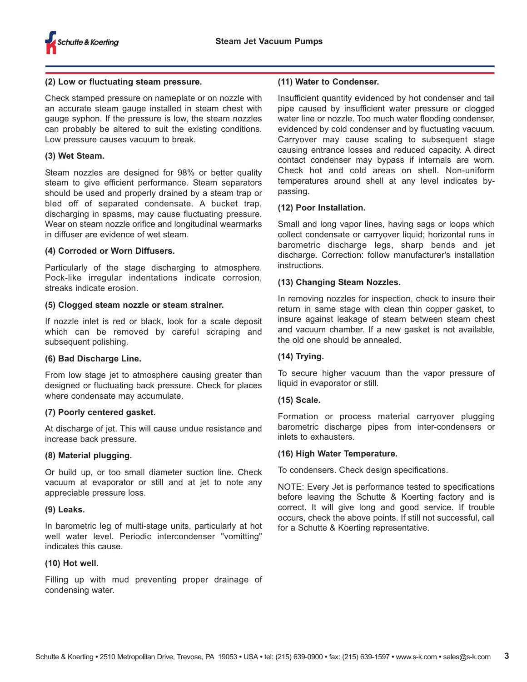

### **(2) Low or fluctuating steam pressure.**

Check stamped pressure on nameplate or on nozzle with an accurate steam gauge installed in steam chest with gauge syphon. If the pressure is low, the steam nozzles can probably be altered to suit the existing conditions. Low pressure causes vacuum to break.

### **(3) Wet Steam.**

Steam nozzles are designed for 98% or better quality steam to give efficient performance. Steam separators should be used and properly drained by a steam trap or bled off of separated condensate. A bucket trap, discharging in spasms, may cause fluctuating pressure. Wear on steam nozzle orifice and longitudinal wearmarks in diffuser are evidence of wet steam.

# **(4) Corroded or Worn Diffusers.**

Particularly of the stage discharging to atmosphere. Pock-like irregular indentations indicate corrosion, streaks indicate erosion.

# **(5) Clogged steam nozzle or steam strainer.**

If nozzle inlet is red or black, look for a scale deposit which can be removed by careful scraping and subsequent polishing.

#### **(6) Bad Discharge Line.**

From low stage jet to atmosphere causing greater than designed or fluctuating back pressure. Check for places where condensate may accumulate.

# **(7) Poorly centered gasket.**

At discharge of jet. This will cause undue resistance and increase back pressure.

#### **(8) Material plugging.**

Or build up, or too small diameter suction line. Check vacuum at evaporator or still and at jet to note any appreciable pressure loss.

#### **(9) Leaks.**

In barometric leg of multi-stage units, particularly at hot well water level. Periodic intercondenser "vomitting" indicates this cause.

# **(10) Hot well.**

Filling up with mud preventing proper drainage of condensing water.

### **(11) Water to Condenser.**

Insufficient quantity evidenced by hot condenser and tail pipe caused by insufficient water pressure or clogged water line or nozzle. Too much water flooding condenser, evidenced by cold condenser and by fluctuating vacuum. Carryover may cause scaling to subsequent stage causing entrance losses and reduced capacity. A direct contact condenser may bypass if internals are worn. Check hot and cold areas on shell. Non-uniform temperatures around shell at any level indicates bypassing.

# **(12) Poor Installation.**

Small and long vapor lines, having sags or loops which collect condensate or carryover liquid; horizontal runs in barometric discharge legs, sharp bends and jet discharge. Correction: follow manufacturer's installation instructions.

# **(13) Changing Steam Nozzles.**

In removing nozzles for inspection, check to insure their return in same stage with clean thin copper gasket, to insure against leakage of steam between steam chest and vacuum chamber. If a new gasket is not available, the old one should be annealed.

#### **(14) Trying.**

To secure higher vacuum than the vapor pressure of liquid in evaporator or still.

#### **(15) Scale.**

Formation or process material carryover plugging barometric discharge pipes from inter-condensers or inlets to exhausters.

#### **(16) High Water Temperature.**

To condensers. Check design specifications.

NOTE: Every Jet is performance tested to specifications before leaving the Schutte & Koerting factory and is correct. It will give long and good service. If trouble occurs, check the above points. If still not successful, call for a Schutte & Koerting representative.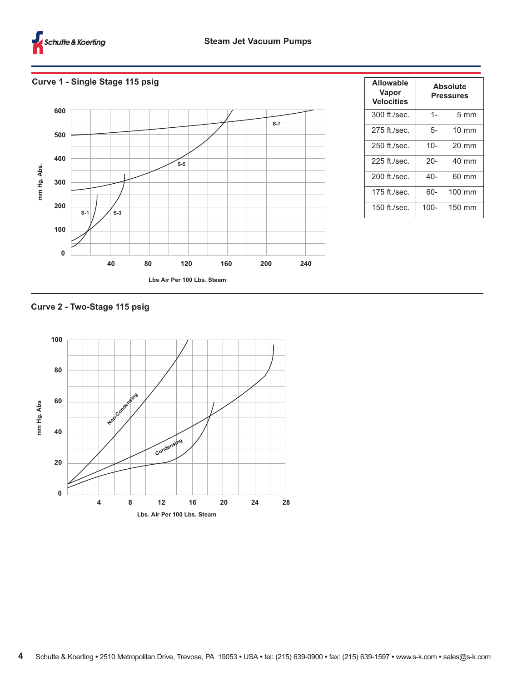

# **Curve 1 - Single Stage 115 psig**



| Allowable<br>Vapor<br><b>Velocities</b> | Absolute<br><b>Pressures</b> |                  |
|-----------------------------------------|------------------------------|------------------|
| 300 ft./sec.                            | $1 -$                        | $5 \text{ mm}$   |
| 275 ft./sec.                            | 5-                           | $10 \text{ mm}$  |
| 250 ft./sec.                            | $10-$                        | $20 \text{ mm}$  |
| 225 ft./sec.                            | $20 -$                       | $40 \text{ mm}$  |
| 200 ft./sec.                            | $40-$                        | 60 mm            |
| 175 ft./sec.                            | 60-                          | $100 \text{ mm}$ |
| 150 ft./sec.                            | $100 -$                      | $150 \text{ mm}$ |

# **Curve 2 - Two-Stage 115 psig**

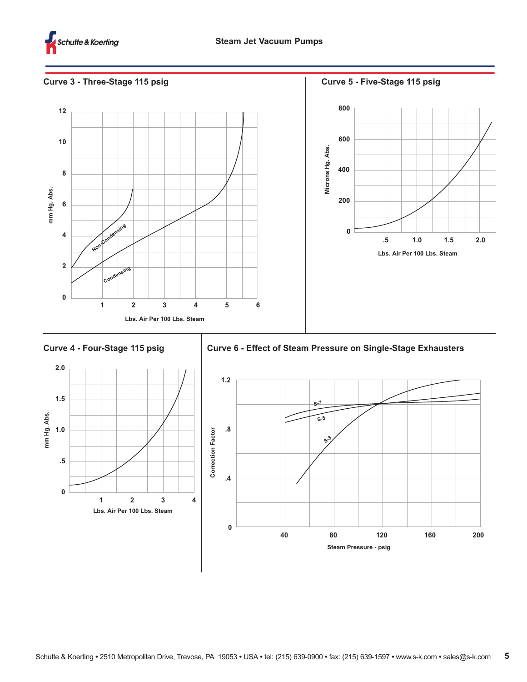

# **Curve 3 - Three-Stage 115 psig**







**Curve 6 - Effect of Steam Pressure on Single-Stage Exhausters**

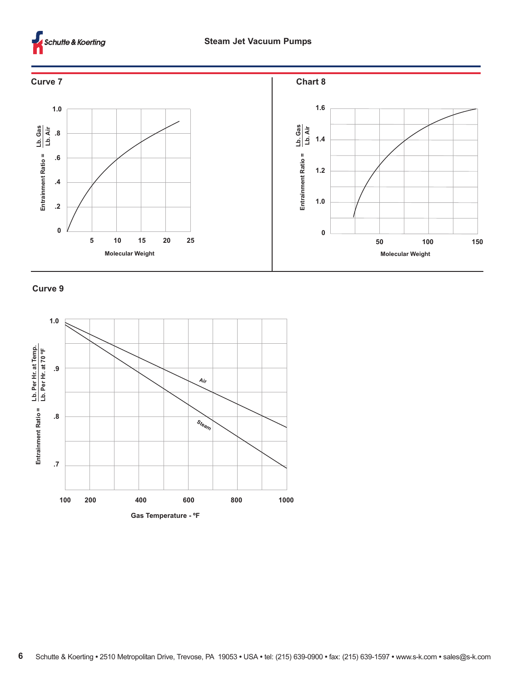